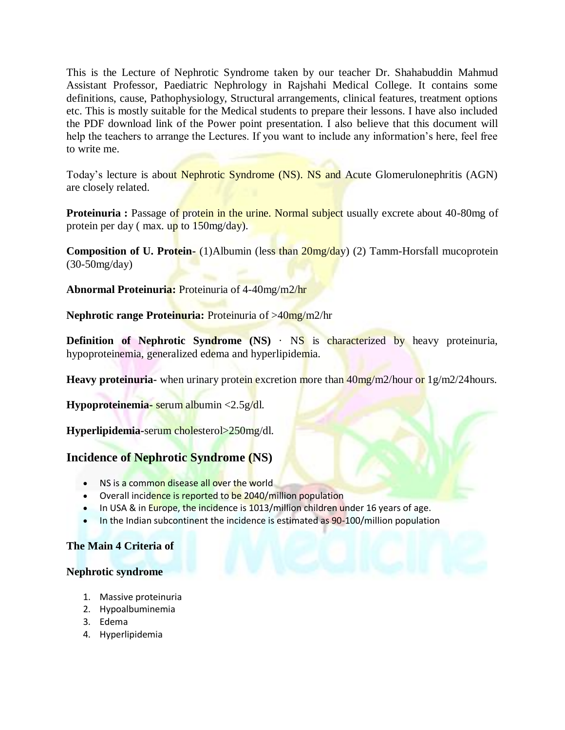This is the Lecture of Nephrotic Syndrome taken by our teacher Dr. Shahabuddin Mahmud Assistant Professor, Paediatric Nephrology in Rajshahi Medical College. It contains some definitions, cause, Pathophysiology, Structural arrangements, clinical features, treatment options etc. This is mostly suitable for the Medical students to prepare their lessons. I have also included the PDF download link of the Power point presentation. I also believe that this document will help the teachers to arrange the Lectures. If you want to include any information's here, feel free to write me.

Today's lecture is about Nephrotic Syndrome (NS). NS and Acute Glomerulonephritis (AGN) are closely related.

**Proteinuria :** Passage of protein in the urine. Normal subject usually excrete about 40-80mg of protein per day ( max. up to 150mg/day).

**Composition of U. Protein-** (1)Albumin (less than 20mg/day) (2) Tamm-Horsfall mucoprotein (30-50mg/day)

**Abnormal Proteinuria:** Proteinuria of 4-40mg/m2/hr

**Nephrotic range Proteinuria:** Proteinuria of >40mg/m2/hr

**Definition of Nephrotic Syndrome (NS)** · NS is characterized by heavy proteinuria, hypoproteinemia, generalized edema and hyperlipidemia.

**Heavy proteinuria-** when urinary protein excretion more than  $40\,\text{mg/m2/hour}$  or  $1\,\text{g/m2/24}$  hours.

**Hypoproteinemia-** serum albumin <2.5g/dl.

**Hyperlipidemia-**serum cholesterol>250mg/dl.

## **Incidence of Nephrotic Syndrome (NS)**

- NS is a common disease all over the world
- Overall incidence is reported to be 2040/million population
- In USA & in Europe, the incidence is 1013/million children under 16 years of age.
- In the Indian subcontinent the incidence is estimated as 90-100/million population

### **The Main 4 Criteria of**

#### **Nephrotic syndrome**

- 1. Massive proteinuria
- 2. Hypoalbuminemia
- 3. Edema
- 4. Hyperlipidemia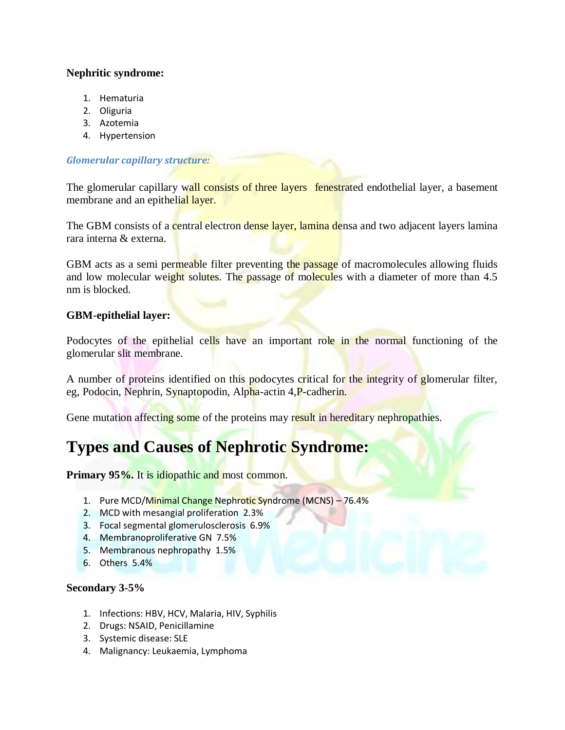### **Nephritic syndrome:**

- 1. Hematuria
- 2. Oliguria
- 3. Azotemia
- 4. Hypertension

### *Glomerular capillary structure:*

The glomerular capillary wall consists of three layers fenestrated endothelial layer, a basement membrane and an epithelial layer.

The GBM consists of a central electron dense layer, lamina densa and two adjacent layers lamina rara interna & externa.

GBM acts as a semi permeable filter preventing the passage of macromolecules allowing fluids and low molecular weight solutes. The passage of molecules with a diameter of more than 4.5 nm is blocked.

### **GBM-epithelial layer:**

Podocytes of the epithelial cells have an important role in the normal functioning of the glomerular slit membrane.

A number of proteins identified on this podocytes critical for the integrity of glomerular filter, eg, Podocin, Nephrin, Synaptopodin, Alpha-actin 4,P-cadherin.

Gene mutation affecting some of the proteins may result in hereditary nephropathies.

# **Types and Causes of Nephrotic Syndrome:**

Primary 95%. It is idiopathic and most common.

- 1. Pure MCD/Minimal Change Nephrotic Syndrome (MCNS) 76.4%
- 2. MCD with mesangial proliferation 2.3%
- 3. Focal segmental glomerulosclerosis 6.9%
- 4. Membranoproliferative GN 7.5%
- 5. Membranous nephropathy 1.5%
- 6. Others 5.4%

### **Secondary 3-5%**

- 1. Infections: HBV, HCV, Malaria, HIV, Syphilis
- 2. Drugs: NSAID, Penicillamine
- 3. Systemic disease: SLE
- 4. Malignancy: Leukaemia, Lymphoma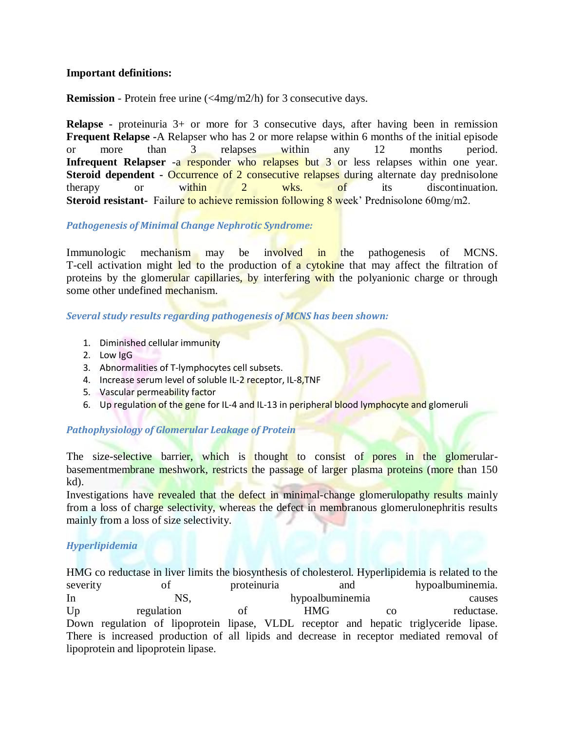### **Important definitions:**

**Remission** - Protein free urine (<4mg/m2/h) for 3 consecutive days.

**Relapse -** proteinuria 3+ or more for 3 consecutive days, after having been in remission **Frequent Relapse -**A Relapser who has 2 or more relapse within 6 months of the initial episode or more than 3 relapses within any 12 months period. **Infrequent Relapser** -a responder who relapses but 3 or less relapses within one year. **Steroid dependent -** Occurrence of 2 consecutive relapses during alternate day prednisolone therapy or within 2 wks. of its discontinuation. **Steroid resistant-** Failure to achieve remission following 8 week' Prednisolone 60mg/m2.

### *Pathogenesis of Minimal Change Nephrotic Syndrome:*

Immunologic mechanism may be involved in the pathogenesis of MCNS. T-cell activation might led to the production of a cytokine that may affect the filtration of proteins by the glomerular capillaries, by interfering with the polyanionic charge or through some other undefined mechanism.

### *Several study results regarding pathogenesis of MCNS has been shown:*

- 1. Diminished cellular immunity
- 2. Low IgG
- 3. Abnormalities of T-lymphocytes cell subsets.
- 4. Increase serum level of soluble IL-2 receptor, IL-8, TNF
- 5. Vascular permeability factor
- 6. Up regulation of the gene for IL-4 and IL-13 in peripheral blood lymphocyte and glomeruli

### *Pathophysiology of Glomerular Leakage of Protein*

The size-selective barrier, which is thought to consist of pores in the glomerularbasementmembrane meshwork, restricts the passage of larger plasma proteins (more than 150 kd).

Investigations have revealed that the defect in minimal-change glomerulopathy results mainly from a loss of charge selectivity, whereas the defect in membranous glomerulonephritis results mainly from a loss of size selectivity.

### *Hyperlipidemia*

HMG co reductase in liver limits the biosynthesis of cholesterol. Hyperlipidemia is related to the severity of proteinuria and hypoalbuminemia. In NS, NS, hypoalbuminemia causes Up regulation of HMG co reductase. Down regulation of lipoprotein lipase, VLDL receptor and hepatic triglyceride lipase. There is increased production of all lipids and decrease in receptor mediated removal of lipoprotein and lipoprotein lipase.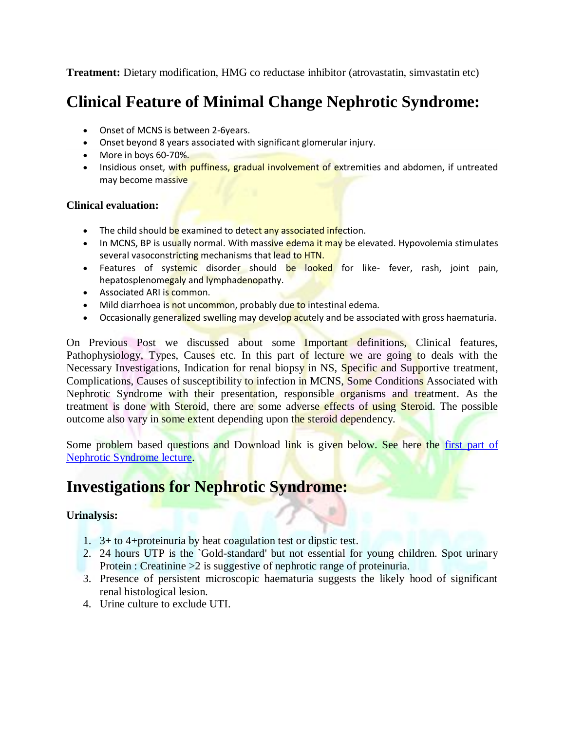**Treatment:** Dietary modification, HMG co reductase inhibitor (atrovastatin, simvastatin etc)

# **Clinical Feature of Minimal Change Nephrotic Syndrome:**

- Onset of MCNS is between 2-6years.
- Onset beyond 8 years associated with significant glomerular injury.
- More in boys 60-70%.
- Insidious onset, with puffiness, gradual involvement of extremities and abdomen, if untreated may become massive

### **Clinical evaluation:**

- The child should be examined to detect any associated infection.
- In MCNS, BP is usually normal. With massive edema it may be elevated. Hypovolemia stimulates several vasoconstricting mechanisms that lead to HTN.
- Features of systemic disorder should be looked for like- fever, rash, joint pain, hepatosplenomegaly and lymphadenopathy.
- Associated ARI is common.
- Mild diarrhoea is not uncommon, probably due to intestinal edema.
- Occasionally generalized swelling may develop acutely and be associated with gross haematuria.

On Previous Post we discussed about some Important definitions, Clinical features, Pathophysiology, Types, Causes etc. In this part of lecture we are going to deals with the Necessary Investigations, Indication for renal biopsy in NS, Specific and Supportive treatment, Complications, Causes of susceptibility to infection in MCNS, Some Conditions Associated with Nephrotic Syndrome with their presentation, responsible organisms and treatment. As the treatment is done with Steroid, there are some adverse effects of using Steroid. The possible outcome also vary in some extent depending upon the steroid dependency.

Some problem based questions and Download link is given below. See here the first part of [Nephrotic Syndrome lecture.](http://pedimedicine.com/nephrotic-syndrome-in-children-lecture-full-part-1/)

# **Investigations for Nephrotic Syndrome:**

### **Urinalysis:**

- 1. 3+ to 4+proteinuria by heat coagulation test or dipstic test.
- 2. 24 hours UTP is the `Gold-standard' but not essential for young children. Spot urinary Protein : Creatinine > 2 is suggestive of nephrotic range of proteinuria.
- 3. Presence of persistent microscopic haematuria suggests the likely hood of significant renal histological lesion.
- 4. Urine culture to exclude UTI.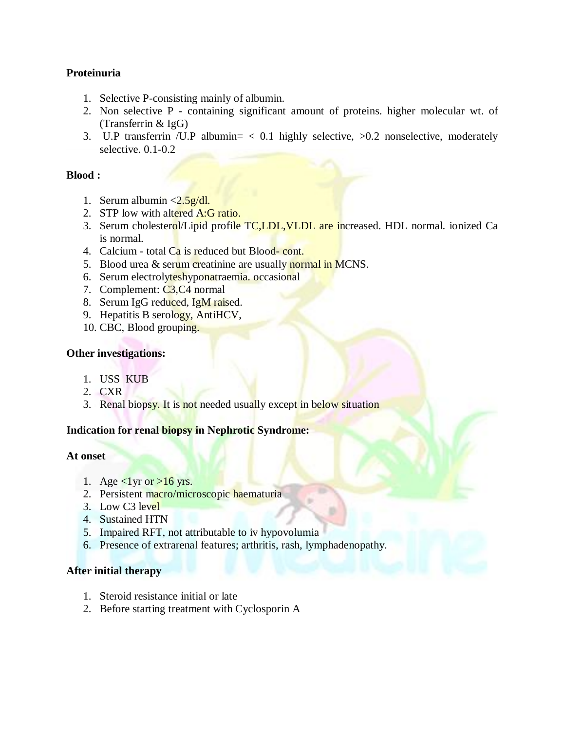### **Proteinuria**

- 1. Selective P-consisting mainly of albumin.
- 2. Non selective P containing significant amount of proteins. higher molecular wt. of (Transferrin & IgG)
- 3. U.P transferrin /U.P albumin= < 0.1 highly selective, >0.2 nonselective, moderately selective. 0.1-0.2

### **Blood :**

- 1. Serum albumin  $\langle 2.5g/dl.$
- 2. STP low with altered A:G ratio.
- 3. Serum cholesterol/Lipid profile TC,LDL, VLDL are increased. HDL normal. ionized Ca is normal.
- 4. Calcium total Ca is reduced but Blood-cont.
- 5. Blood urea & serum creatinine are usually normal in MCNS.
- 6. Serum electrolyteshyponatraemia. occasional
- 7. Complement: C3,C4 normal
- 8. Serum IgG reduced, IgM raised.
- 9. Hepatitis B serology, AntiHCV,
- 10. CBC, Blood grouping.

### **Other investigations:**

- 1. USS KUB
- 2. CXR
- 3. Renal biopsy. It is not needed usually except in below situation

### **Indication for renal biopsy in Nephrotic Syndrome:**

### **At onset**

- 1. Age  $\langle$ 1 yr or  $>$ 16 yrs.
- 2. Persistent macro/microscopic haematuria
- 3. Low C3 level
- 4. Sustained HTN
- 5. Impaired RFT, not attributable to iv hypovolumia
- 6. Presence of extrarenal features; arthritis, rash, lymphadenopathy.

### **After initial therapy**

- 1. Steroid resistance initial or late
- 2. Before starting treatment with Cyclosporin A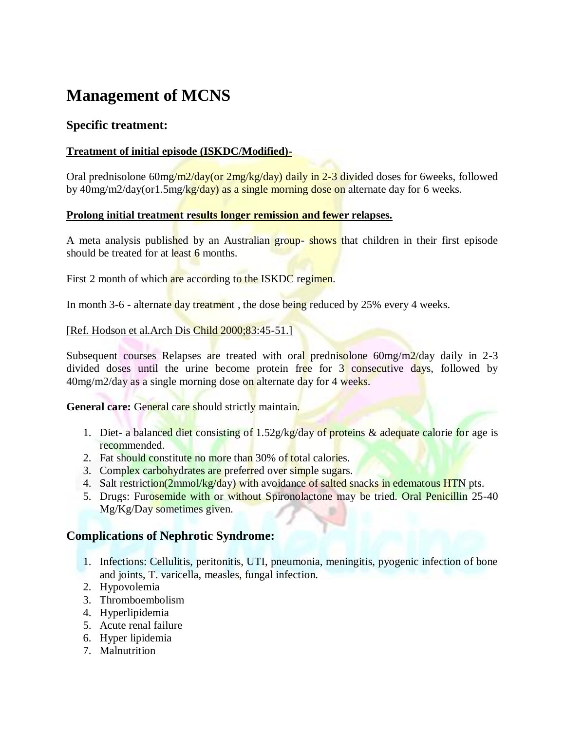# **Management of MCNS**

## **Specific treatment:**

### **Treatment of initial episode (ISKDC/Modified)-**

Oral prednisolone 60mg/m2/day(or 2mg/kg/day) daily in 2-3 divided doses for 6weeks, followed by 40mg/m2/day(or1.5mg/kg/day) as a single morning dose on alternate day for 6 weeks.

#### **Prolong initial treatment results longer remission and fewer relapses.**

A meta analysis published by an Australian group- shows that children in their first episode should be treated for at least 6 months.

First 2 month of which are according to the ISKDC regimen.

In month 3-6 - alternate day treatment, the dose being reduced by 25% every 4 weeks.

#### [Ref. Hodson et al. Arch Dis Child 2000;83:45-51.]

Subsequent courses Relapses are treated with oral prednisolone  $60mg/m<sup>2</sup>/day$  daily in 2-3 divided doses until the urine become protein free for 3 consecutive days, followed by 40mg/m2/day as a single morning dose on alternate day for 4 weeks.

#### General care: General care should strictly maintain.

- 1. Diet- a balanced diet consisting of  $1.52g/kg$  day of proteins & adequate calorie for age is recommended.
- 2. Fat should constitute no more than 30% of total calories.
- 3. Complex carbohydrates are preferred over simple sugars.
- 4. Salt restriction(2mmol/kg/day) with avoidance of salted snacks in edematous HTN pts.
- 5. Drugs: Furosemide with or without Spironolactone may be tried. Oral Penicillin 25-40 Mg/Kg/Day sometimes given.

### **Complications of Nephrotic Syndrome:**

- 1. Infections: Cellulitis, peritonitis, UTI, pneumonia, meningitis, pyogenic infection of bone and joints, T. varicella, measles, fungal infection.
- 2. Hypovolemia
- 3. Thromboembolism
- 4. Hyperlipidemia
- 5. Acute renal failure
- 6. Hyper lipidemia
- 7. Malnutrition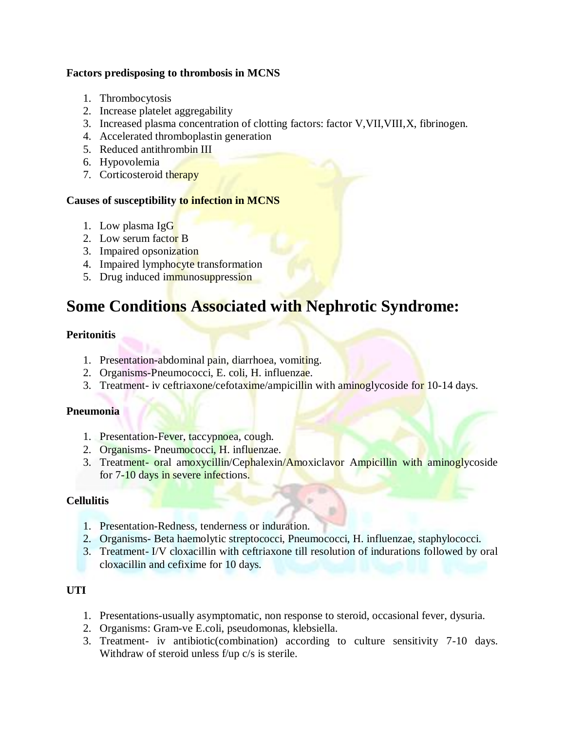### **Factors predisposing to thrombosis in MCNS**

- 1. Thrombocytosis
- 2. Increase platelet aggregability
- 3. Increased plasma concentration of clotting factors: factor V,VII,VIII,X, fibrinogen.
- 4. Accelerated thromboplastin generation
- 5. Reduced antithrombin III
- 6. Hypovolemia
- 7. Corticosteroid therapy

### **Causes of susceptibility to infection in MCNS**

- 1. Low plasma IgG
- 2. Low serum factor B
- 3. Impaired opsonization
- 4. Impaired lymphocyte transformation
- 5. Drug induced immunosuppression

# **Some Conditions Associated with Nephrotic Syndrome:**

## **Peritonitis**

- 1. Presentation-abdominal pain, diarrhoea, vomiting.
- 2. Organisms-Pneumococci, E. coli, H. influenzae.
- 3. Treatment- iv ceftriaxone/cefotaxime/ampicillin with aminoglycoside for 10-14 days.

### **Pneumonia**

- 1. Presentation-Fever, taccypnoea, cough.
- 2. Organisms- Pneumococci, H. influenzae.
- 3. Treatment- oral amoxycillin/Cephalexin/Amoxiclavor Ampicillin with aminoglycoside for 7-10 days in severe infections.

### **Cellulitis**

- 1. Presentation-Redness, tenderness or induration.
- 2. Organisms- Beta haemolytic streptococci, Pneumococci, H. influenzae, staphylococci.
- 3. Treatment- I/V cloxacillin with ceftriaxone till resolution of indurations followed by oral cloxacillin and cefixime for 10 days.

## **UTI**

- 1. Presentations-usually asymptomatic, non response to steroid, occasional fever, dysuria.
- 2. Organisms: Gram-ve E.coli, pseudomonas, klebsiella.
- 3. Treatment- iv antibiotic(combination) according to culture sensitivity 7-10 days. Withdraw of steroid unless f/up c/s is sterile.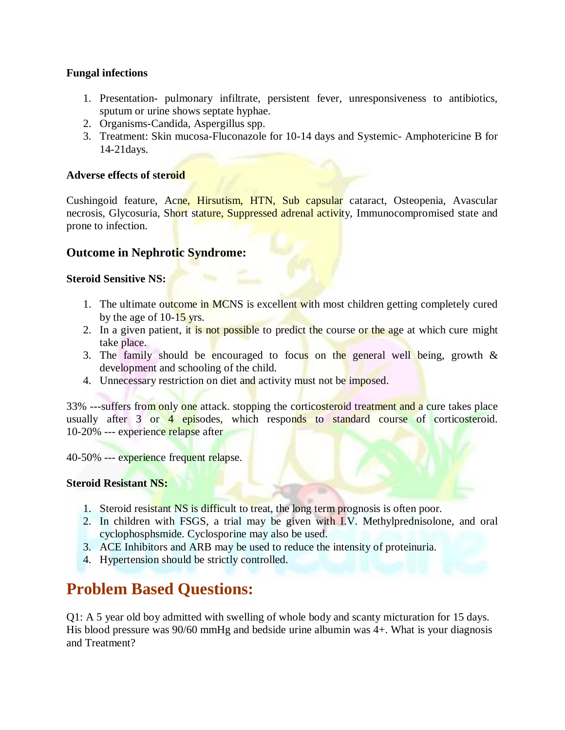### **Fungal infections**

- 1. Presentation- pulmonary infiltrate, persistent fever, unresponsiveness to antibiotics, sputum or urine shows septate hyphae.
- 2. Organisms-Candida, Aspergillus spp.
- 3. Treatment: Skin mucosa-Fluconazole for 10-14 days and Systemic- Amphotericine B for 14-21days.

### **Adverse effects of steroid**

Cushingoid feature, Acne, Hirsutism, HTN, Sub capsular cataract, Osteopenia, Avascular necrosis, Glycosuria, Short stature, Suppressed adrenal activity, Immunocompromised state and prone to infection.

## **Outcome in Nephrotic Syndrome:**

### **Steroid Sensitive NS:**

- 1. The ultimate outcome in MCNS is excellent with most children getting completely cured by the age of 10-15 yrs.
- 2. In a given patient, it is not possible to predict the course or the age at which cure might take place.
- 3. The family should be encouraged to focus on the general well being, growth  $\&$ development and schooling of the child.
- 4. Unnecessary restriction on diet and activity must not be imposed.

33% ---suffers from only one attack, stopping the corticosteroid treatment and a cure takes place usually after 3 or 4 episodes, which responds to standard course of corticosteroid. 10-20% --- experience relapse after

40-50% --- experience frequent relapse.

### **Steroid Resistant NS:**

- 1. Steroid resistant NS is difficult to treat, the long term prognosis is often poor.
- 2. In children with FSGS, a trial may be given with I.V. Methylprednisolone, and oral cyclophosphsmide. Cyclosporine may also be used.
- 3. ACE Inhibitors and ARB may be used to reduce the intensity of proteinuria.
- 4. Hypertension should be strictly controlled.

# **Problem Based Questions:**

Q1: A 5 year old boy admitted with swelling of whole body and scanty micturation for 15 days. His blood pressure was 90/60 mmHg and bedside urine albumin was 4+. What is your diagnosis and Treatment?